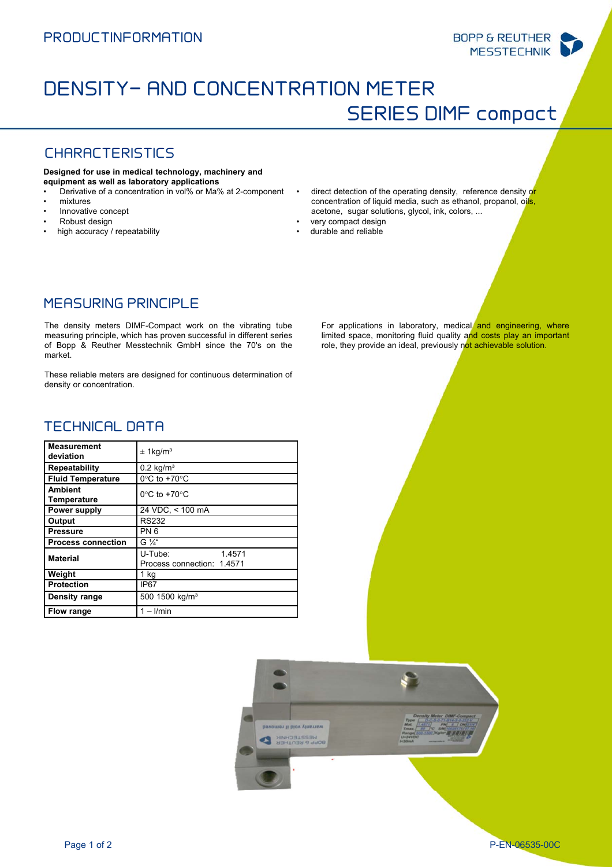# DENSITY- AND CONCENTRATION METER SERIES DIMF compact

# CHARACTERISTICS

#### **Designed for use in medical technology, machinery and equipment as well as laboratory applications**

- Derivative of a concentration in vol% or Ma% at 2-component
- mixtures
- Innovative concept
- Robust design
- high accuracy / repeatability
- direct detection of the operating density, reference density or concentration of liquid media, such as ethanol, propanol, oils, acetone, sugar solutions, glycol, ink, colors, ...
- very compact design • durable and reliable

## MEASURING PRINCIPLE

The density meters DIMF-Compact work on the vibrating tube measuring principle, which has proven successful in different series of Bopp & Reuther Messtechnik GmbH since the 70's on the market.

These reliable meters are designed for continuous determination of density or concentration.

## TECHNICAL DATA

| <b>Measurement</b><br>deviation      | $\pm$ 1 kg/m <sup>3</sup>                       |
|--------------------------------------|-------------------------------------------------|
| Repeatability                        | $0.2$ kg/m <sup>3</sup>                         |
| <b>Fluid Temperature</b>             | $0^{\circ}$ C to +70 $^{\circ}$ C               |
| <b>Ambient</b><br><b>Temperature</b> | $0^{\circ}$ C to +70 $^{\circ}$ C               |
| Power supply                         | 24 VDC, < 100 mA                                |
| Output                               | <b>RS232</b>                                    |
| <b>Pressure</b>                      | PN <sub>6</sub>                                 |
| <b>Process connection</b>            | $G''_4$                                         |
| <b>Material</b>                      | U-Tube:<br>1.4571<br>Process connection: 1.4571 |
| Weight                               | $1$ kg                                          |
| <b>Protection</b>                    | IP67                                            |
| Density range                        | 500 1500 kg/m <sup>3</sup>                      |
| Flow range                           | $1  l/min$                                      |

For applications in laboratory, medical and engineering, where limited space, monitoring fluid quality and costs play an important role, they provide an ideal, previously not achievable solution.